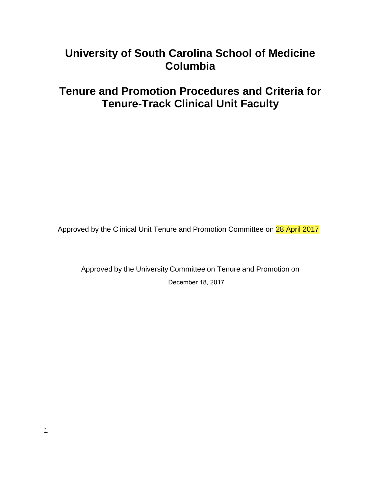# **University of South Carolina School of Medicine Columbia**

# **Tenure and Promotion Procedures and Criteria for Tenure-Track Clinical Unit Faculty**

Approved by the Clinical Unit Tenure and Promotion Committee on 28 April 2017

Approved by the University Committee on Tenure and Promotion on December 18, 2017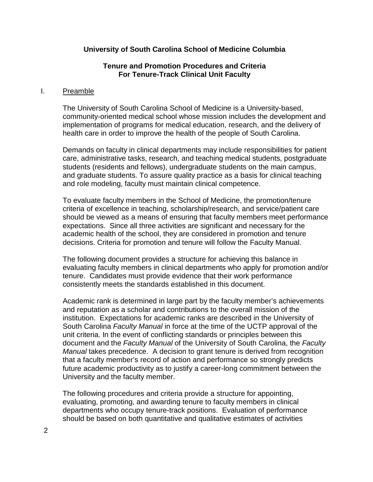### **University of South Carolina School of Medicine Columbia**

### **Tenure and Promotion Procedures and Criteria For Tenure-Track Clinical Unit Faculty**

#### I. Preamble

The University of South Carolina School of Medicine is a University-based, community-oriented medical school whose mission includes the development and implementation of programs for medical education, research, and the delivery of health care in order to improve the health of the people of South Carolina.

Demands on faculty in clinical departments may include responsibilities for patient care, administrative tasks, research, and teaching medical students, postgraduate students (residents and fellows), undergraduate students on the main campus, and graduate students. To assure quality practice as a basis for clinical teaching and role modeling, faculty must maintain clinical competence.

To evaluate faculty members in the School of Medicine, the promotion/tenure criteria of excellence in teaching, scholarship/research, and service/patient care should be viewed as a means of ensuring that faculty members meet performance expectations. Since all three activities are significant and necessary for the academic health of the school, they are considered in promotion and tenure decisions. Criteria for promotion and tenure will follow the Faculty Manual.

The following document provides a structure for achieving this balance in evaluating faculty members in clinical departments who apply for promotion and/or tenure. Candidates must provide evidence that their work performance consistently meets the standards established in this document.

Academic rank is determined in large part by the faculty member's achievements and reputation as a scholar and contributions to the overall mission of the institution. Expectations for academic ranks are described in the University of South Carolina *Faculty Manual* in force at the time of the UCTP approval of the unit criteria. In the event of conflicting standards or principles between this document and the *Faculty Manual* of the University of South Carolina, the *Faculty Manual* takes precedence. A decision to grant tenure is derived from recognition that a faculty member's record of action and performance so strongly predicts future academic productivity as to justify a career-long commitment between the University and the faculty member.

The following procedures and criteria provide a structure for appointing, evaluating, promoting, and awarding tenure to faculty members in clinical departments who occupy tenure-track positions. Evaluation of performance should be based on both quantitative and qualitative estimates of activities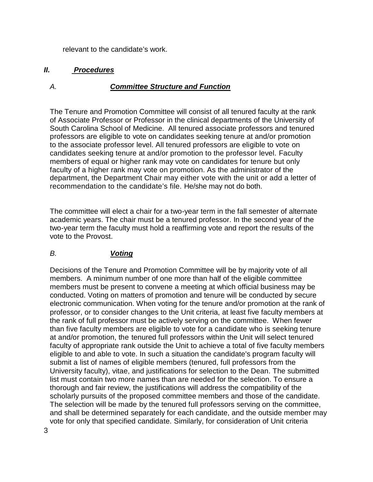relevant to the candidate's work.

### *II. Procedures*

### *A. Committee Structure and Function*

The Tenure and Promotion Committee will consist of all tenured faculty at the rank of Associate Professor or Professor in the clinical departments of the University of South Carolina School of Medicine. All tenured associate professors and tenured professors are eligible to vote on candidates seeking tenure at and/or promotion to the associate professor level. All tenured professors are eligible to vote on candidates seeking tenure at and/or promotion to the professor level. Faculty members of equal or higher rank may vote on candidates for tenure but only faculty of a higher rank may vote on promotion. As the administrator of the department, the Department Chair may either vote with the unit or add a letter of recommendation to the candidate's file. He/she may not do both.

The committee will elect a chair for a two-year term in the fall semester of alternate academic years. The chair must be a tenured professor. In the second year of the two-year term the faculty must hold a reaffirming vote and report the results of the vote to the Provost.

# *B. Voting*

Decisions of the Tenure and Promotion Committee will be by majority vote of all members. A minimum number of one more than half of the eligible committee members must be present to convene a meeting at which official business may be conducted. Voting on matters of promotion and tenure will be conducted by secure electronic communication. When voting for the tenure and/or promotion at the rank of professor, or to consider changes to the Unit criteria, at least five faculty members at the rank of full professor must be actively serving on the committee. When fewer than five faculty members are eligible to vote for a candidate who is seeking tenure at and/or promotion, the tenured full professors within the Unit will select tenured faculty of appropriate rank outside the Unit to achieve a total of five faculty members eligible to and able to vote. In such a situation the candidate's program faculty will submit a list of names of eligible members (tenured, full professors from the University faculty), vitae, and justifications for selection to the Dean. The submitted list must contain two more names than are needed for the selection. To ensure a thorough and fair review, the justifications will address the compatibility of the scholarly pursuits of the proposed committee members and those of the candidate. The selection will be made by the tenured full professors serving on the committee, and shall be determined separately for each candidate, and the outside member may vote for only that specified candidate. Similarly, for consideration of Unit criteria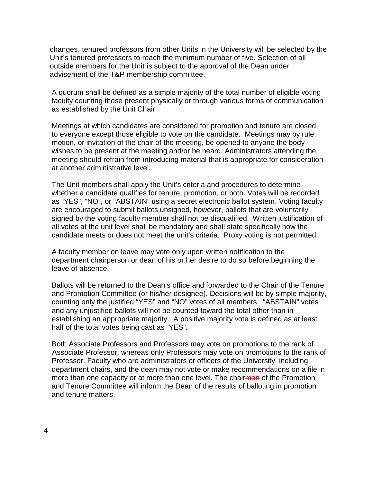changes, tenured professors from other Units in the University will be selected by the Unit's tenured professors to reach the minimum number of five. Selection of all outside members for the Unit is subject to the approval of the Dean under advisement of the T&P membership committee.

A quorum shall be defined as a simple majority of the total number of eligible voting faculty counting those present physically or through various forms of communication as established by the Unit Chair.

Meetings at which candidates are considered for promotion and tenure are closed to everyone except those eligible to vote on the candidate. Meetings may by rule, motion, or invitation of the chair of the meeting, be opened to anyone the body wishes to be present at the meeting and/or be heard. Administrators attending the meeting should refrain from introducing material that is appropriate for consideration at another administrative level.

The Unit members shall apply the Unit's criteria and procedures to determine whether a candidate qualifies for tenure, promotion, or both. Votes will be recorded as "YES", "NO", or "ABSTAIN" using a secret electronic ballot system. Voting faculty are encouraged to submit ballots unsigned, however, ballots that are voluntarily signed by the voting faculty member shall not be disqualified. Written justification of all votes at the unit level shall be mandatory and shall state specifically how the candidate meets or does not meet the unit's criteria. Proxy voting is not permitted.

A faculty member on leave may vote only upon written notification to the department chairperson or dean of his or her desire to do so before beginning the leave of absence.

Ballots will be returned to the Dean's office and forwarded to the Chair of the Tenure and Promotion Committee (or his/her designee). Decisions will be by simple majority, counting only the justified "YES" and "NO" votes of all members. "ABSTAIN" votes and any unjustified ballots will not be counted toward the total other than in establishing an appropriate majority. A positive majority vote is defined as at least half of the total votes being cast as "YES".

Both Associate Professors and Professors may vote on promotions to the rank of Associate Professor, whereas only Professors may vote on promotions to the rank of Professor. Faculty who are administrators or officers of the University, including department chairs, and the dean may not vote or make recommendations on a file in more than one capacity or at more than one level. The chairman of the Promotion and Tenure Committee will inform the Dean of the results of balloting in promotion and tenure matters.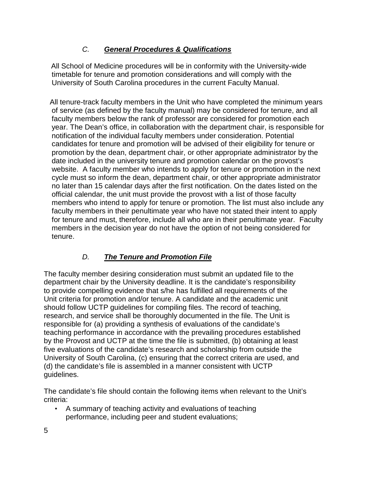# *C. General Procedures & Qualifications*

 All School of Medicine procedures will be in conformity with the University-wide timetable for tenure and promotion considerations and will comply with the University of South Carolina procedures in the current Faculty Manual.

 All tenure-track faculty members in the Unit who have completed the minimum years of service (as defined by the faculty manual) may be considered for tenure, and all faculty members below the rank of professor are considered for promotion each year. The Dean's office, in collaboration with the department chair, is responsible for notification of the individual faculty members under consideration. Potential candidates for tenure and promotion will be advised of their eligibility for tenure or promotion by the dean, department chair, or other appropriate administrator by the date included in the university tenure and promotion calendar on the provost's website. A faculty member who intends to apply for tenure or promotion in the next cycle must so inform the dean, department chair, or other appropriate administrator no later than 15 calendar days after the first notification. On the dates listed on the official calendar, the unit must provide the provost with a list of those faculty members who intend to apply for tenure or promotion. The list must also include any faculty members in their penultimate year who have not stated their intent to apply for tenure and must, therefore, include all who are in their penultimate year. Faculty members in the decision year do not have the option of not being considered for tenure.

# *D. The Tenure and Promotion File*

The faculty member desiring consideration must submit an updated file to the department chair by the University deadline. It is the candidate's responsibility to provide compelling evidence that s/he has fulfilled all requirements of the Unit criteria for promotion and/or tenure. A candidate and the academic unit should follow UCTP guidelines for compiling files. The record of teaching, research, and service shall be thoroughly documented in the file. The Unit is responsible for (a) providing a synthesis of evaluations of the candidate's teaching performance in accordance with the prevailing procedures established by the Provost and UCTP at the time the file is submitted, (b) obtaining at least five evaluations of the candidate's research and scholarship from outside the University of South Carolina, (c) ensuring that the correct criteria are used, and (d) the candidate's file is assembled in a manner consistent with UCTP guidelines.

The candidate's file should contain the following items when relevant to the Unit's criteria:

• A summary of teaching activity and evaluations of teaching performance, including peer and student evaluations;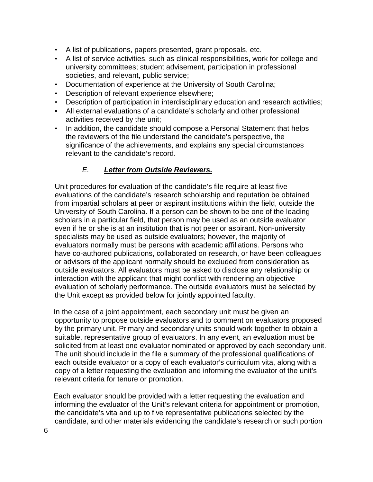- A list of publications, papers presented, grant proposals, etc.
- A list of service activities, such as clinical responsibilities, work for college and university committees; student advisement, participation in professional societies, and relevant, public service;
- Documentation of experience at the University of South Carolina;
- Description of relevant experience elsewhere;
- Description of participation in interdisciplinary education and research activities;
- All external evaluations of a candidate's scholarly and other professional activities received by the unit;
- In addition, the candidate should compose a Personal Statement that helps the reviewers of the file understand the candidate's perspective, the significance of the achievements, and explains any special circumstances relevant to the candidate's record.

# *E. Letter from Outside Reviewers.*

 Unit procedures for evaluation of the candidate's file require at least five evaluations of the candidate's research scholarship and reputation be obtained from impartial scholars at peer or aspirant institutions within the field, outside the University of South Carolina. If a person can be shown to be one of the leading scholars in a particular field, that person may be used as an outside evaluator even if he or she is at an institution that is not peer or aspirant. Non-university specialists may be used as outside evaluators; however, the majority of evaluators normally must be persons with academic affiliations. Persons who have co-authored publications, collaborated on research, or have been colleagues or advisors of the applicant normally should be excluded from consideration as outside evaluators. All evaluators must be asked to disclose any relationship or interaction with the applicant that might conflict with rendering an objective evaluation of scholarly performance. The outside evaluators must be selected by the Unit except as provided below for jointly appointed faculty.

 In the case of a joint appointment, each secondary unit must be given an opportunity to propose outside evaluators and to comment on evaluators proposed by the primary unit. Primary and secondary units should work together to obtain a suitable, representative group of evaluators. In any event, an evaluation must be solicited from at least one evaluator nominated or approved by each secondary unit. The unit should include in the file a summary of the professional qualifications of each outside evaluator or a copy of each evaluator's curriculum vita, along with a copy of a letter requesting the evaluation and informing the evaluator of the unit's relevant criteria for tenure or promotion.

 Each evaluator should be provided with a letter requesting the evaluation and informing the evaluator of the Unit's relevant criteria for appointment or promotion, the candidate's vita and up to five representative publications selected by the candidate, and other materials evidencing the candidate's research or such portion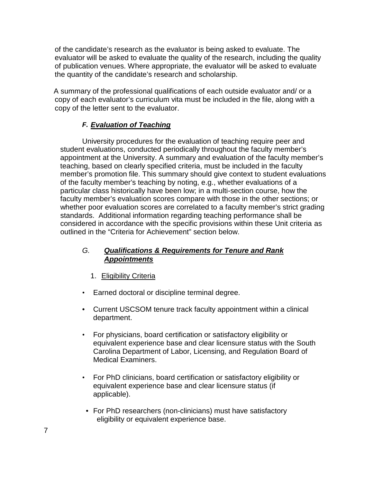of the candidate's research as the evaluator is being asked to evaluate. The evaluator will be asked to evaluate the quality of the research, including the quality of publication venues. Where appropriate, the evaluator will be asked to evaluate the quantity of the candidate's research and scholarship.

 A summary of the professional qualifications of each outside evaluator and/ or a copy of each evaluator's curriculum vita must be included in the file, along with a copy of the letter sent to the evaluator.

# *F. Evaluation of Teaching*

University procedures for the evaluation of teaching require peer and student evaluations, conducted periodically throughout the faculty member's appointment at the University. A summary and evaluation of the faculty member's teaching, based on clearly specified criteria, must be included in the faculty member's promotion file. This summary should give context to student evaluations of the faculty member's teaching by noting, e.g., whether evaluations of a particular class historically have been low; in a multi-section course, how the faculty member's evaluation scores compare with those in the other sections; or whether poor evaluation scores are correlated to a faculty member's strict grading standards. Additional information regarding teaching performance shall be considered in accordance with the specific provisions within these Unit criteria as outlined in the "Criteria for Achievement" section below.

# *G. Qualifications & Requirements for Tenure and Rank Appointments*

- 1. Eligibility Criteria
- Earned doctoral or discipline terminal degree.
- Current USCSOM tenure track faculty appointment within a clinical department.
- For physicians, board certification or satisfactory eligibility or equivalent experience base and clear licensure status with the South Carolina Department of Labor, Licensing, and Regulation Board of Medical Examiners.
- For PhD clinicians, board certification or satisfactory eligibility or equivalent experience base and clear licensure status (if applicable).
- For PhD researchers (non-clinicians) must have satisfactory eligibility or equivalent experience base.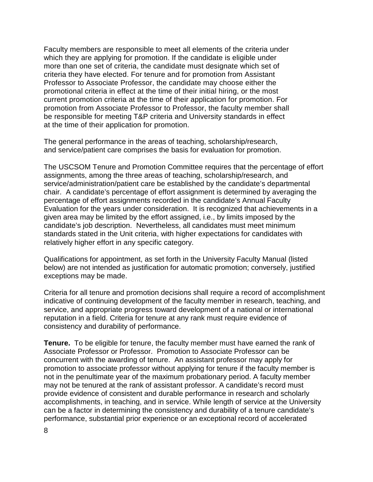Faculty members are responsible to meet all elements of the criteria under which they are applying for promotion. If the candidate is eligible under more than one set of criteria, the candidate must designate which set of criteria they have elected. For tenure and for promotion from Assistant Professor to Associate Professor, the candidate may choose either the promotional criteria in effect at the time of their initial hiring, or the most current promotion criteria at the time of their application for promotion. For promotion from Associate Professor to Professor, the faculty member shall be responsible for meeting T&P criteria and University standards in effect at the time of their application for promotion.

The general performance in the areas of teaching, scholarship/research, and service/patient care comprises the basis for evaluation for promotion.

The USCSOM Tenure and Promotion Committee requires that the percentage of effort assignments, among the three areas of teaching, scholarship/research, and service/administration/patient care be established by the candidate's departmental chair. A candidate's percentage of effort assignment is determined by averaging the percentage of effort assignments recorded in the candidate's Annual Faculty Evaluation for the years under consideration. It is recognized that achievements in a given area may be limited by the effort assigned, i.e., by limits imposed by the candidate's job description. Nevertheless, all candidates must meet minimum standards stated in the Unit criteria, with higher expectations for candidates with relatively higher effort in any specific category.

Qualifications for appointment, as set forth in the University Faculty Manual (listed below) are not intended as justification for automatic promotion; conversely, justified exceptions may be made.

Criteria for all tenure and promotion decisions shall require a record of accomplishment indicative of continuing development of the faculty member in research, teaching, and service, and appropriate progress toward development of a national or international reputation in a field. Criteria for tenure at any rank must require evidence of consistency and durability of performance.

**Tenure.** To be eligible for tenure, the faculty member must have earned the rank of Associate Professor or Professor. Promotion to Associate Professor can be concurrent with the awarding of tenure. An assistant professor may apply for promotion to associate professor without applying for tenure if the faculty member is not in the penultimate year of the maximum probationary period. A faculty member may not be tenured at the rank of assistant professor. A candidate's record must provide evidence of consistent and durable performance in research and scholarly accomplishments, in teaching, and in service. While length of service at the University can be a factor in determining the consistency and durability of a tenure candidate's performance, substantial prior experience or an exceptional record of accelerated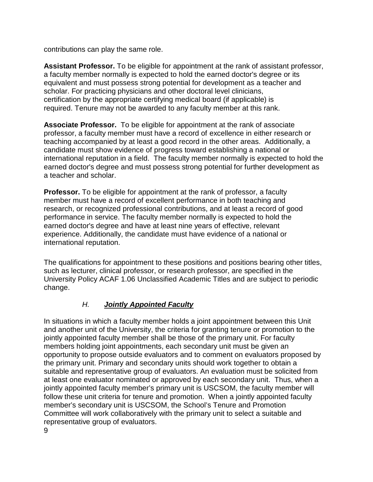contributions can play the same role.

**Assistant Professor.** To be eligible for appointment at the rank of assistant professor, a faculty member normally is expected to hold the earned doctor's degree or its equivalent and must possess strong potential for development as a teacher and scholar. For practicing physicians and other doctoral level clinicians, certification by the appropriate certifying medical board (if applicable) is required. Tenure may not be awarded to any faculty member at this rank.

**Associate Professor.** To be eligible for appointment at the rank of associate professor, a faculty member must have a record of excellence in either research or teaching accompanied by at least a good record in the other areas. Additionally, a candidate must show evidence of progress toward establishing a national or international reputation in a field. The faculty member normally is expected to hold the earned doctor's degree and must possess strong potential for further development as a teacher and scholar.

**Professor.** To be eligible for appointment at the rank of professor, a faculty member must have a record of excellent performance in both teaching and research, or recognized professional contributions, and at least a record of good performance in service. The faculty member normally is expected to hold the earned doctor's degree and have at least nine years of effective, relevant experience. Additionally, the candidate must have evidence of a national or international reputation.

The qualifications for appointment to these positions and positions bearing other titles, such as lecturer, clinical professor, or research professor, are specified in the University Policy ACAF 1.06 Unclassified Academic Titles and are subject to periodic change.

# *H. Jointly Appointed Faculty*

In situations in which a faculty member holds a joint appointment between this Unit and another unit of the University, the criteria for granting tenure or promotion to the jointly appointed faculty member shall be those of the primary unit. For faculty members holding joint appointments, each secondary unit must be given an opportunity to propose outside evaluators and to comment on evaluators proposed by the primary unit. Primary and secondary units should work together to obtain a suitable and representative group of evaluators. An evaluation must be solicited from at least one evaluator nominated or approved by each secondary unit. Thus, when a jointly appointed faculty member's primary unit is USCSOM, the faculty member will follow these unit criteria for tenure and promotion. When a jointly appointed faculty member's secondary unit is USCSOM, the School's Tenure and Promotion Committee will work collaboratively with the primary unit to select a suitable and representative group of evaluators.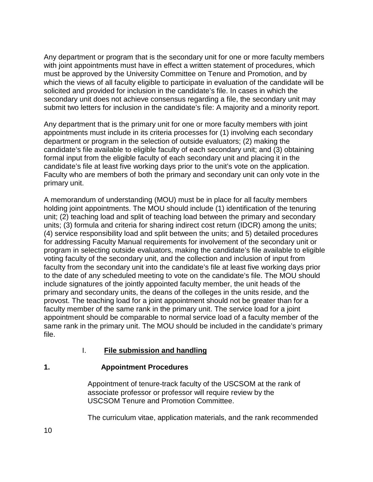Any department or program that is the secondary unit for one or more faculty members with joint appointments must have in effect a written statement of procedures, which must be approved by the University Committee on Tenure and Promotion, and by which the views of all faculty eligible to participate in evaluation of the candidate will be solicited and provided for inclusion in the candidate's file. In cases in which the secondary unit does not achieve consensus regarding a file, the secondary unit may submit two letters for inclusion in the candidate's file: A majority and a minority report.

Any department that is the primary unit for one or more faculty members with joint appointments must include in its criteria processes for (1) involving each secondary department or program in the selection of outside evaluators; (2) making the candidate's file available to eligible faculty of each secondary unit; and (3) obtaining formal input from the eligible faculty of each secondary unit and placing it in the candidate's file at least five working days prior to the unit's vote on the application. Faculty who are members of both the primary and secondary unit can only vote in the primary unit.

A memorandum of understanding (MOU) must be in place for all faculty members holding joint appointments. The MOU should include (1) identification of the tenuring unit; (2) teaching load and split of teaching load between the primary and secondary units; (3) formula and criteria for sharing indirect cost return (IDCR) among the units; (4) service responsibility load and split between the units; and 5) detailed procedures for addressing Faculty Manual requirements for involvement of the secondary unit or program in selecting outside evaluators, making the candidate's file available to eligible voting faculty of the secondary unit, and the collection and inclusion of input from faculty from the secondary unit into the candidate's file at least five working days prior to the date of any scheduled meeting to vote on the candidate's file. The MOU should include signatures of the jointly appointed faculty member, the unit heads of the primary and secondary units, the deans of the colleges in the units reside, and the provost. The teaching load for a joint appointment should not be greater than for a faculty member of the same rank in the primary unit. The service load for a joint appointment should be comparable to normal service load of a faculty member of the same rank in the primary unit. The MOU should be included in the candidate's primary file.

# I. **File submission and handling**

# **1. Appointment Procedures**

Appointment of tenure-track faculty of the USCSOM at the rank of associate professor or professor will require review by the USCSOM Tenure and Promotion Committee.

The curriculum vitae, application materials, and the rank recommended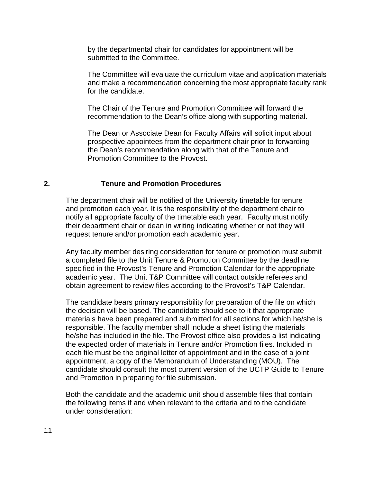by the departmental chair for candidates for appointment will be submitted to the Committee.

The Committee will evaluate the curriculum vitae and application materials and make a recommendation concerning the most appropriate faculty rank for the candidate.

The Chair of the Tenure and Promotion Committee will forward the recommendation to the Dean's office along with supporting material.

The Dean or Associate Dean for Faculty Affairs will solicit input about prospective appointees from the department chair prior to forwarding the Dean's recommendation along with that of the Tenure and Promotion Committee to the Provost.

#### **2. Tenure and Promotion Procedures**

The department chair will be notified of the University timetable for tenure and promotion each year. It is the responsibility of the department chair to notify all appropriate faculty of the timetable each year. Faculty must notify their department chair or dean in writing indicating whether or not they will request tenure and/or promotion each academic year.

Any faculty member desiring consideration for tenure or promotion must submit a completed file to the Unit Tenure & Promotion Committee by the deadline specified in the Provost's Tenure and Promotion Calendar for the appropriate academic year. The Unit T&P Committee will contact outside referees and obtain agreement to review files according to the Provost's T&P Calendar.

The candidate bears primary responsibility for preparation of the file on which the decision will be based. The candidate should see to it that appropriate materials have been prepared and submitted for all sections for which he/she is responsible. The faculty member shall include a sheet listing the materials he/she has included in the file. The Provost office also provides a list indicating the expected order of materials in Tenure and/or Promotion files. Included in each file must be the original letter of appointment and in the case of a joint appointment, a copy of the Memorandum of Understanding (MOU). The candidate should consult the most current version of the UCTP Guide to Tenure and Promotion in preparing for file submission.

Both the candidate and the academic unit should assemble files that contain the following items if and when relevant to the criteria and to the candidate under consideration: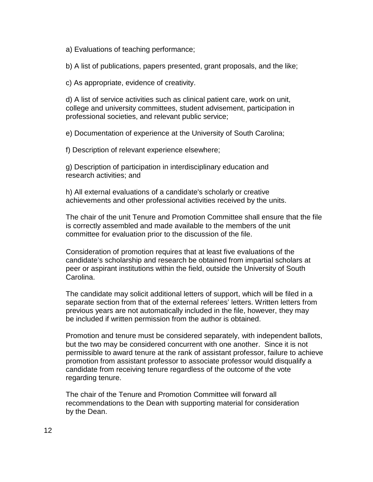a) Evaluations of teaching performance;

b) A list of publications, papers presented, grant proposals, and the like;

c) As appropriate, evidence of creativity.

d) A list of service activities such as clinical patient care, work on unit, college and university committees, student advisement, participation in professional societies, and relevant public service;

e) Documentation of experience at the University of South Carolina;

f) Description of relevant experience elsewhere;

g) Description of participation in interdisciplinary education and research activities; and

h) All external evaluations of a candidate's scholarly or creative achievements and other professional activities received by the units.

The chair of the unit Tenure and Promotion Committee shall ensure that the file is correctly assembled and made available to the members of the unit committee for evaluation prior to the discussion of the file.

Consideration of promotion requires that at least five evaluations of the candidate's scholarship and research be obtained from impartial scholars at peer or aspirant institutions within the field, outside the University of South Carolina.

The candidate may solicit additional letters of support, which will be filed in a separate section from that of the external referees' letters. Written letters from previous years are not automatically included in the file, however, they may be included if written permission from the author is obtained.

Promotion and tenure must be considered separately, with independent ballots, but the two may be considered concurrent with one another. Since it is not permissible to award tenure at the rank of assistant professor, failure to achieve promotion from assistant professor to associate professor would disqualify a candidate from receiving tenure regardless of the outcome of the vote regarding tenure.

The chair of the Tenure and Promotion Committee will forward all recommendations to the Dean with supporting material for consideration by the Dean.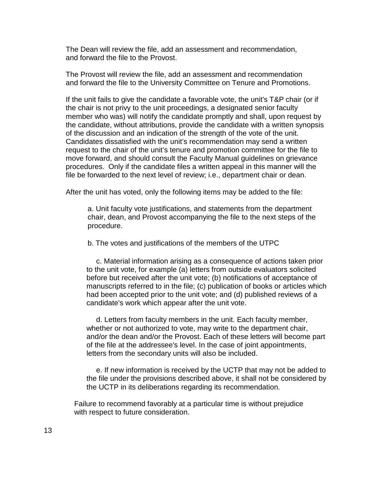The Dean will review the file, add an assessment and recommendation, and forward the file to the Provost.

The Provost will review the file, add an assessment and recommendation and forward the file to the University Committee on Tenure and Promotions.

If the unit fails to give the candidate a favorable vote, the unit's T&P chair (or if the chair is not privy to the unit proceedings, a designated senior faculty member who was) will notify the candidate promptly and shall, upon request by the candidate, without attributions, provide the candidate with a written synopsis of the discussion and an indication of the strength of the vote of the unit. Candidates dissatisfied with the unit's recommendation may send a written request to the chair of the unit's tenure and promotion committee for the file to move forward, and should consult the Faculty Manual guidelines on grievance procedures. Only if the candidate files a written appeal in this manner will the file be forwarded to the next level of review; i.e., department chair or dean.

After the unit has voted, only the following items may be added to the file:

a. Unit faculty vote justifications, and statements from the department chair, dean, and Provost accompanying the file to the next steps of the procedure.

b. The votes and justifications of the members of the UTPC

c. Material information arising as a consequence of actions taken prior to the unit vote, for example (a) letters from outside evaluators solicited before but received after the unit vote; (b) notifications of acceptance of manuscripts referred to in the file; (c) publication of books or articles which had been accepted prior to the unit vote; and (d) published reviews of a candidate's work which appear after the unit vote.

d. Letters from faculty members in the unit. Each faculty member, whether or not authorized to vote, may write to the department chair, and/or the dean and/or the Provost. Each of these letters will become part of the file at the addressee's level. In the case of joint appointments, letters from the secondary units will also be included.

e. If new information is received by the UCTP that may not be added to the file under the provisions described above, it shall not be considered by the UCTP in its deliberations regarding its recommendation.

Failure to recommend favorably at a particular time is without prejudice with respect to future consideration.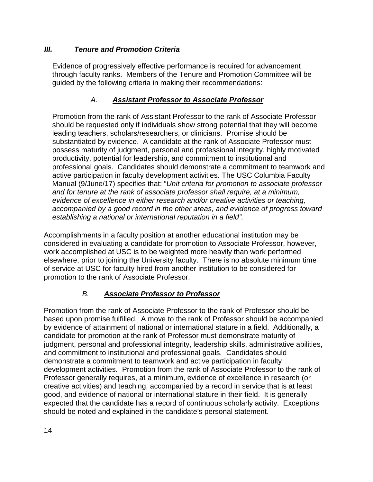# *III. Tenure and Promotion Criteria*

Evidence of progressively effective performance is required for advancement through faculty ranks. Members of the Tenure and Promotion Committee will be guided by the following criteria in making their recommendations:

# *A. Assistant Professor to Associate Professor*

Promotion from the rank of Assistant Professor to the rank of Associate Professor should be requested only if individuals show strong potential that they will become leading teachers, scholars/researchers, or clinicians. Promise should be substantiated by evidence. A candidate at the rank of Associate Professor must possess maturity of judgment, personal and professional integrity, highly motivated productivity, potential for leadership, and commitment to institutional and professional goals. Candidates should demonstrate a commitment to teamwork and active participation in faculty development activities. The USC Columbia Faculty Manual (9/June/17) specifies that: "*Unit criteria for promotion to associate professor and for tenure at the rank of associate professor shall require, at a minimum, evidence of excellence in either research and/or creative activities or teaching, accompanied by a good record in the other areas, and evidence of progress toward establishing a national or international reputation in a field".*

Accomplishments in a faculty position at another educational institution may be considered in evaluating a candidate for promotion to Associate Professor, however, work accomplished at USC is to be weighted more heavily than work performed elsewhere, prior to joining the University faculty. There is no absolute minimum time of service at USC for faculty hired from another institution to be considered for promotion to the rank of Associate Professor.

# *B. Associate Professor to Professor*

Promotion from the rank of Associate Professor to the rank of Professor should be based upon promise fulfilled. A move to the rank of Professor should be accompanied by evidence of attainment of national or international stature in a field. Additionally, a candidate for promotion at the rank of Professor must demonstrate maturity of judgment, personal and professional integrity, leadership skills, administrative abilities, and commitment to institutional and professional goals. Candidates should demonstrate a commitment to teamwork and active participation in faculty development activities. Promotion from the rank of Associate Professor to the rank of Professor generally requires, at a minimum, evidence of excellence in research (or creative activities) and teaching, accompanied by a record in service that is at least good, and evidence of national or international stature in their field. It is generally expected that the candidate has a record of continuous scholarly activity. Exceptions should be noted and explained in the candidate's personal statement.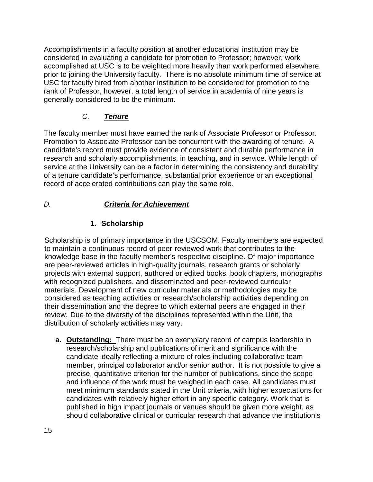Accomplishments in a faculty position at another educational institution may be considered in evaluating a candidate for promotion to Professor; however, work accomplished at USC is to be weighted more heavily than work performed elsewhere, prior to joining the University faculty. There is no absolute minimum time of service at USC for faculty hired from another institution to be considered for promotion to the rank of Professor, however, a total length of service in academia of nine years is generally considered to be the minimum.

# *C. Tenure*

The faculty member must have earned the rank of Associate Professor or Professor. Promotion to Associate Professor can be concurrent with the awarding of tenure. A candidate's record must provide evidence of consistent and durable performance in research and scholarly accomplishments, in teaching, and in service. While length of service at the University can be a factor in determining the consistency and durability of a tenure candidate's performance, substantial prior experience or an exceptional record of accelerated contributions can play the same role.

# *D. Criteria for Achievement*

# **1. Scholarship**

Scholarship is of primary importance in the USCSOM. Faculty members are expected to maintain a continuous record of peer-reviewed work that contributes to the knowledge base in the faculty member's respective discipline. Of major importance are peer-reviewed articles in high-quality journals, research grants or scholarly projects with external support, authored or edited books, book chapters, monographs with recognized publishers, and disseminated and peer-reviewed curricular materials. Development of new curricular materials or methodologies may be considered as teaching activities or research/scholarship activities depending on their dissemination and the degree to which external peers are engaged in their review. Due to the diversity of the disciplines represented within the Unit, the distribution of scholarly activities may vary.

**a. Outstanding:** There must be an exemplary record of campus leadership in research/scholarship and publications of merit and significance with the candidate ideally reflecting a mixture of roles including collaborative team member, principal collaborator and/or senior author. It is not possible to give a precise, quantitative criterion for the number of publications, since the scope and influence of the work must be weighed in each case. All candidates must meet minimum standards stated in the Unit criteria, with higher expectations for candidates with relatively higher effort in any specific category. Work that is published in high impact journals or venues should be given more weight, as should collaborative clinical or curricular research that advance the institution's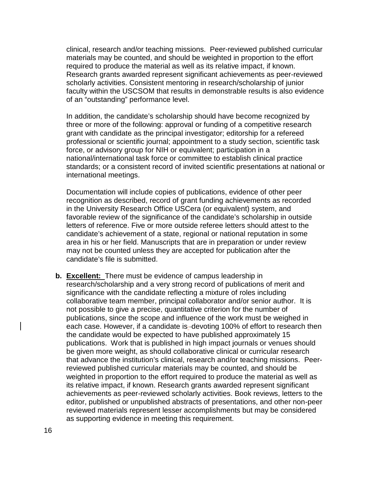clinical, research and/or teaching missions. Peer-reviewed published curricular materials may be counted, and should be weighted in proportion to the effort required to produce the material as well as its relative impact, if known. Research grants awarded represent significant achievements as peer-reviewed scholarly activities. Consistent mentoring in research/scholarship of junior faculty within the USCSOM that results in demonstrable results is also evidence of an "outstanding" performance level.

In addition, the candidate's scholarship should have become recognized by three or more of the following: approval or funding of a competitive research grant with candidate as the principal investigator; editorship for a refereed professional or scientific journal; appointment to a study section, scientific task force, or advisory group for NIH or equivalent; participation in a national/international task force or committee to establish clinical practice standards; or a consistent record of invited scientific presentations at national or international meetings.

Documentation will include copies of publications, evidence of other peer recognition as described, record of grant funding achievements as recorded in the University Research Office USCera (or equivalent) system, and favorable review of the significance of the candidate's scholarship in outside letters of reference. Five or more outside referee letters should attest to the candidate's achievement of a state, regional or national reputation in some area in his or her field. Manuscripts that are in preparation or under review may not be counted unless they are accepted for publication after the candidate's file is submitted.

**b. Excellent:** There must be evidence of campus leadership in research/scholarship and a very strong record of publications of merit and significance with the candidate reflecting a mixture of roles including collaborative team member, principal collaborator and/or senior author. It is not possible to give a precise, quantitative criterion for the number of publications, since the scope and influence of the work must be weighed in each case. However, if a candidate is-devoting 100% of effort to research then the candidate would be expected to have published approximately 15 publications. Work that is published in high impact journals or venues should be given more weight, as should collaborative clinical or curricular research that advance the institution's clinical, research and/or teaching missions. Peerreviewed published curricular materials may be counted, and should be weighted in proportion to the effort required to produce the material as well as its relative impact, if known. Research grants awarded represent significant achievements as peer-reviewed scholarly activities. Book reviews, letters to the editor, published or unpublished abstracts of presentations, and other non-peer reviewed materials represent lesser accomplishments but may be considered as supporting evidence in meeting this requirement.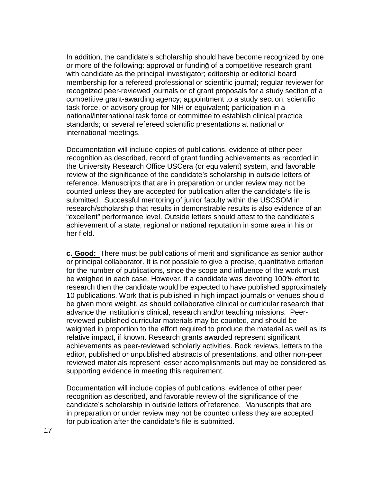In addition, the candidate's scholarship should have become recognized by one or more of the following: approval or funding of a competitive research grant with candidate as the principal investigator; editorship or editorial board membership for a refereed professional or scientific journal; regular reviewer for recognized peer-reviewed journals or of grant proposals for a study section of a competitive grant-awarding agency; appointment to a study section, scientific task force, or advisory group for NIH or equivalent; participation in a national/international task force or committee to establish clinical practice standards; or several refereed scientific presentations at national or international meetings.

Documentation will include copies of publications, evidence of other peer recognition as described, record of grant funding achievements as recorded in the University Research Office USCera (or equivalent) system, and favorable review of the significance of the candidate's scholarship in outside letters of reference. Manuscripts that are in preparation or under review may not be counted unless they are accepted for publication after the candidate's file is submitted. Successful mentoring of junior faculty within the USCSOM in research/scholarship that results in demonstrable results is also evidence of an "excellent" performance level. Outside letters should attest to the candidate's achievement of a state, regional or national reputation in some area in his or her field.

**c. Good:** There must be publications of merit and significance as senior author or principal collaborator. It is not possible to give a precise, quantitative criterion for the number of publications, since the scope and influence of the work must be weighed in each case. However, if a candidate was devoting 100% effort to research then the candidate would be expected to have published approximately 10 publications. Work that is published in high impact journals or venues should be given more weight, as should collaborative clinical or curricular research that advance the institution's clinical, research and/or teaching missions. Peerreviewed published curricular materials may be counted, and should be weighted in proportion to the effort required to produce the material as well as its relative impact, if known. Research grants awarded represent significant achievements as peer-reviewed scholarly activities. Book reviews, letters to the editor, published or unpublished abstracts of presentations, and other non-peer reviewed materials represent lesser accomplishments but may be considered as supporting evidence in meeting this requirement.

Documentation will include copies of publications, evidence of other peer recognition as described, and favorable review of the significance of the candidate's scholarship in outside letters of reference. Manuscripts that are in preparation or under review may not be counted unless they are accepted for publication after the candidate's file is submitted.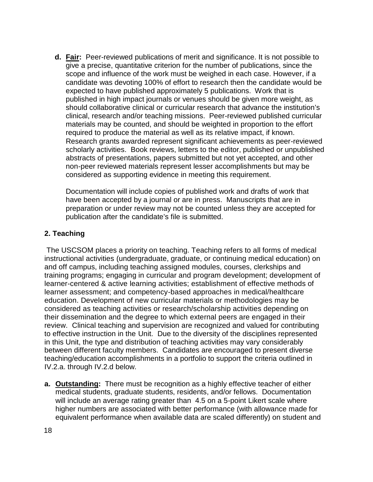**d. Fair:** Peer-reviewed publications of merit and significance. It is not possible to give a precise, quantitative criterion for the number of publications, since the scope and influence of the work must be weighed in each case. However, if a candidate was devoting 100% of effort to research then the candidate would be expected to have published approximately 5 publications. Work that is published in high impact journals or venues should be given more weight, as should collaborative clinical or curricular research that advance the institution's clinical, research and/or teaching missions. Peer-reviewed published curricular materials may be counted, and should be weighted in proportion to the effort required to produce the material as well as its relative impact, if known. Research grants awarded represent significant achievements as peer-reviewed scholarly activities. Book reviews, letters to the editor, published or unpublished abstracts of presentations, papers submitted but not yet accepted, and other non-peer reviewed materials represent lesser accomplishments but may be considered as supporting evidence in meeting this requirement.

Documentation will include copies of published work and drafts of work that have been accepted by a journal or are in press. Manuscripts that are in preparation or under review may not be counted unless they are accepted for publication after the candidate's file is submitted.

### **2. Teaching**

The USCSOM places a priority on teaching. Teaching refers to all forms of medical instructional activities (undergraduate, graduate, or continuing medical education) on and off campus, including teaching assigned modules, courses, clerkships and training programs; engaging in curricular and program development; development of learner-centered & active learning activities; establishment of effective methods of learner assessment; and competency-based approaches in medical/healthcare education. Development of new curricular materials or methodologies may be considered as teaching activities or research/scholarship activities depending on their dissemination and the degree to which external peers are engaged in their review. Clinical teaching and supervision are recognized and valued for contributing to effective instruction in the Unit. Due to the diversity of the disciplines represented in this Unit, the type and distribution of teaching activities may vary considerably between different faculty members. Candidates are encouraged to present diverse teaching/education accomplishments in a portfolio to support the criteria outlined in IV.2.a. through IV.2.d below.

**a. Outstanding:** There must be recognition as a highly effective teacher of either medical students, graduate students, residents, and/or fellows. Documentation will include an average rating greater than 4.5 on a 5-point Likert scale where higher numbers are associated with better performance (with allowance made for equivalent performance when available data are scaled differently) on student and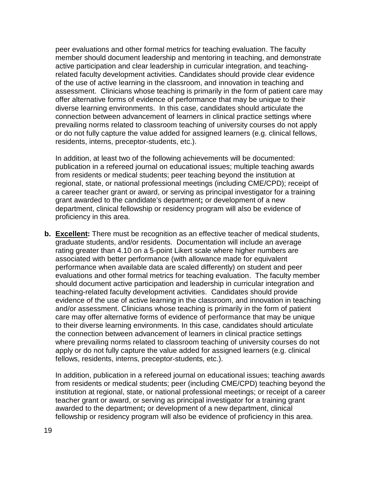peer evaluations and other formal metrics for teaching evaluation. The faculty member should document leadership and mentoring in teaching, and demonstrate active participation and clear leadership in curricular integration, and teachingrelated faculty development activities. Candidates should provide clear evidence of the use of active learning in the classroom, and innovation in teaching and assessment. Clinicians whose teaching is primarily in the form of patient care may offer alternative forms of evidence of performance that may be unique to their diverse learning environments. In this case, candidates should articulate the connection between advancement of learners in clinical practice settings where prevailing norms related to classroom teaching of university courses do not apply or do not fully capture the value added for assigned learners (e.g. clinical fellows, residents, interns, preceptor-students, etc.).

In addition, at least two of the following achievements will be documented: publication in a refereed journal on educational issues; multiple teaching awards from residents or medical students; peer teaching beyond the institution at regional, state, or national professional meetings (including CME/CPD); receipt of a career teacher grant or award, or serving as principal investigator for a training grant awarded to the candidate's department**;** or development of a new department, clinical fellowship or residency program will also be evidence of proficiency in this area.

**b. Excellent:** There must be recognition as an effective teacher of medical students, graduate students, and/or residents. Documentation will include an average rating greater than 4.10 on a 5-point Likert scale where higher numbers are associated with better performance (with allowance made for equivalent performance when available data are scaled differently) on student and peer evaluations and other formal metrics for teaching evaluation. The faculty member should document active participation and leadership in curricular integration and teaching-related faculty development activities. Candidates should provide evidence of the use of active learning in the classroom, and innovation in teaching and/or assessment. Clinicians whose teaching is primarily in the form of patient care may offer alternative forms of evidence of performance that may be unique to their diverse learning environments. In this case, candidates should articulate the connection between advancement of learners in clinical practice settings where prevailing norms related to classroom teaching of university courses do not apply or do not fully capture the value added for assigned learners (e.g. clinical fellows, residents, interns, preceptor-students, etc.).

In addition, publication in a refereed journal on educational issues; teaching awards from residents or medical students; peer (including CME/CPD) teaching beyond the institution at regional, state, or national professional meetings; or receipt of a career teacher grant or award, or serving as principal investigator for a training grant awarded to the department**;** or development of a new department, clinical fellowship or residency program will also be evidence of proficiency in this area.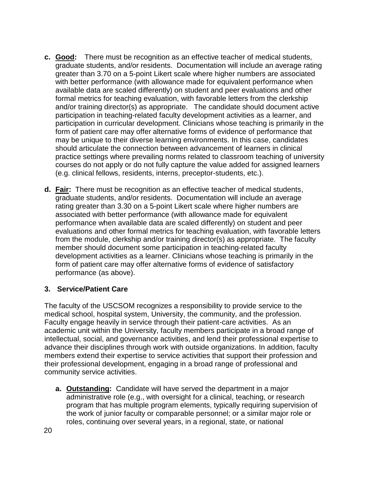- **c. Good:** There must be recognition as an effective teacher of medical students, graduate students, and/or residents. Documentation will include an average rating greater than 3.70 on a 5-point Likert scale where higher numbers are associated with better performance (with allowance made for equivalent performance when available data are scaled differently) on student and peer evaluations and other formal metrics for teaching evaluation, with favorable letters from the clerkship and/or training director(s) as appropriate. The candidate should document active participation in teaching-related faculty development activities as a learner, and participation in curricular development. Clinicians whose teaching is primarily in the form of patient care may offer alternative forms of evidence of performance that may be unique to their diverse learning environments. In this case, candidates should articulate the connection between advancement of learners in clinical practice settings where prevailing norms related to classroom teaching of university courses do not apply or do not fully capture the value added for assigned learners (e.g. clinical fellows, residents, interns, preceptor-students, etc.).
- **d. Fair:** There must be recognition as an effective teacher of medical students, graduate students, and/or residents. Documentation will include an average rating greater than 3.30 on a 5-point Likert scale where higher numbers are associated with better performance (with allowance made for equivalent performance when available data are scaled differently) on student and peer evaluations and other formal metrics for teaching evaluation, with favorable letters from the module, clerkship and/or training director(s) as appropriate. The faculty member should document some participation in teaching-related faculty development activities as a learner. Clinicians whose teaching is primarily in the form of patient care may offer alternative forms of evidence of satisfactory performance (as above).

### **3. Service/Patient Care**

The faculty of the USCSOM recognizes a responsibility to provide service to the medical school, hospital system, University, the community, and the profession. Faculty engage heavily in service through their patient-care activities. As an academic unit within the University, faculty members participate in a broad range of intellectual, social, and governance activities, and lend their professional expertise to advance their disciplines through work with outside organizations. In addition, faculty members extend their expertise to service activities that support their profession and their professional development, engaging in a broad range of professional and community service activities.

**a. Outstanding:** Candidate will have served the department in a major administrative role (e.g., with oversight for a clinical, teaching, or research program that has multiple program elements, typically requiring supervision of the work of junior faculty or comparable personnel; or a similar major role or roles, continuing over several years, in a regional, state, or national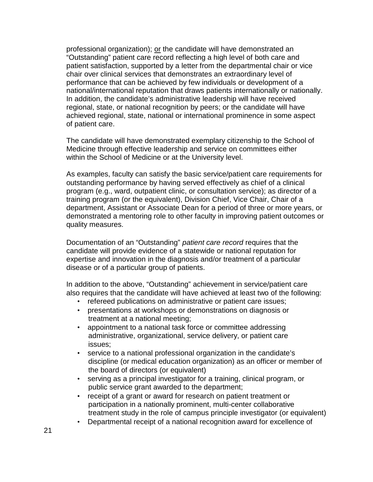professional organization); or the candidate will have demonstrated an "Outstanding" patient care record reflecting a high level of both care and patient satisfaction, supported by a letter from the departmental chair or vice chair over clinical services that demonstrates an extraordinary level of performance that can be achieved by few individuals or development of a national/international reputation that draws patients internationally or nationally. In addition, the candidate's administrative leadership will have received regional, state, or national recognition by peers; or the candidate will have achieved regional, state, national or international prominence in some aspect of patient care.

The candidate will have demonstrated exemplary citizenship to the School of Medicine through effective leadership and service on committees either within the School of Medicine or at the University level.

As examples, faculty can satisfy the basic service/patient care requirements for outstanding performance by having served effectively as chief of a clinical program (e.g., ward, outpatient clinic, or consultation service); as director of a training program (or the equivalent), Division Chief, Vice Chair, Chair of a department, Assistant or Associate Dean for a period of three or more years, or demonstrated a mentoring role to other faculty in improving patient outcomes or quality measures.

Documentation of an "Outstanding" *patient care record* requires that the candidate will provide evidence of a statewide or national reputation for expertise and innovation in the diagnosis and/or treatment of a particular disease or of a particular group of patients.

In addition to the above, "Outstanding" achievement in service/patient care also requires that the candidate will have achieved at least two of the following:

- refereed publications on administrative or patient care issues;
- presentations at workshops or demonstrations on diagnosis or treatment at a national meeting;
- appointment to a national task force or committee addressing administrative, organizational, service delivery, or patient care issues;
- service to a national professional organization in the candidate's discipline (or medical education organization) as an officer or member of the board of directors (or equivalent)
- serving as a principal investigator for a training, clinical program, or public service grant awarded to the department;
- receipt of a grant or award for research on patient treatment or participation in a nationally prominent, multi-center collaborative treatment study in the role of campus principle investigator (or equivalent)
- Departmental receipt of a national recognition award for excellence of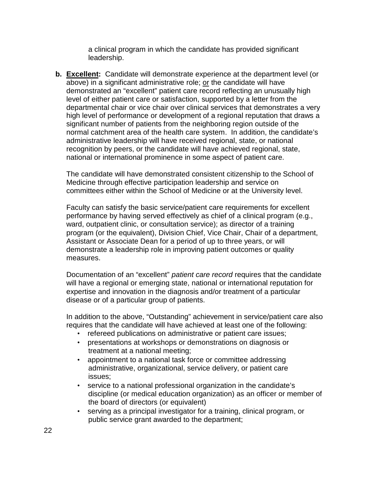a clinical program in which the candidate has provided significant leadership.

**b. Excellent:** Candidate will demonstrate experience at the department level (or above) in a significant administrative role; or the candidate will have demonstrated an "excellent" patient care record reflecting an unusually high level of either patient care or satisfaction, supported by a letter from the departmental chair or vice chair over clinical services that demonstrates a very high level of performance or development of a regional reputation that draws a significant number of patients from the neighboring region outside of the normal catchment area of the health care system. In addition, the candidate's administrative leadership will have received regional, state, or national recognition by peers, or the candidate will have achieved regional, state, national or international prominence in some aspect of patient care.

The candidate will have demonstrated consistent citizenship to the School of Medicine through effective participation leadership and service on committees either within the School of Medicine or at the University level.

Faculty can satisfy the basic service/patient care requirements for excellent performance by having served effectively as chief of a clinical program (e.g., ward, outpatient clinic, or consultation service); as director of a training program (or the equivalent), Division Chief, Vice Chair, Chair of a department, Assistant or Associate Dean for a period of up to three years, or will demonstrate a leadership role in improving patient outcomes or quality measures.

Documentation of an "excellent" *patient care record* requires that the candidate will have a regional or emerging state, national or international reputation for expertise and innovation in the diagnosis and/or treatment of a particular disease or of a particular group of patients.

In addition to the above, "Outstanding" achievement in service/patient care also requires that the candidate will have achieved at least one of the following:

- refereed publications on administrative or patient care issues;
- presentations at workshops or demonstrations on diagnosis or treatment at a national meeting;
- appointment to a national task force or committee addressing administrative, organizational, service delivery, or patient care issues;
- service to a national professional organization in the candidate's discipline (or medical education organization) as an officer or member of the board of directors (or equivalent)
- serving as a principal investigator for a training, clinical program, or public service grant awarded to the department;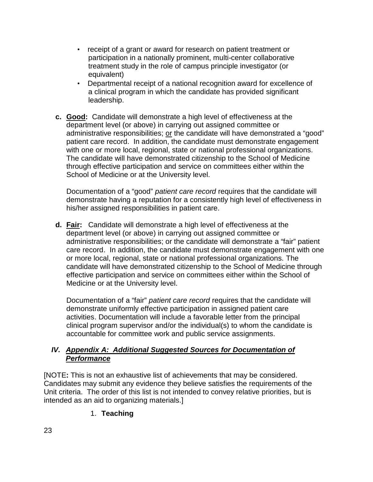- receipt of a grant or award for research on patient treatment or participation in a nationally prominent, multi-center collaborative treatment study in the role of campus principle investigator (or equivalent)
- Departmental receipt of a national recognition award for excellence of a clinical program in which the candidate has provided significant leadership.
- **c. Good:** Candidate will demonstrate a high level of effectiveness at the department level (or above) in carrying out assigned committee or administrative responsibilities; or the candidate will have demonstrated a "good" patient care record. In addition, the candidate must demonstrate engagement with one or more local, regional, state or national professional organizations. The candidate will have demonstrated citizenship to the School of Medicine through effective participation and service on committees either within the School of Medicine or at the University level.

Documentation of a "good" *patient care record* requires that the candidate will demonstrate having a reputation for a consistently high level of effectiveness in his/her assigned responsibilities in patient care.

**d. Fair:** Candidate will demonstrate a high level of effectiveness at the department level (or above) in carrying out assigned committee or administrative responsibilities; or the candidate will demonstrate a "fair" patient care record. In addition, the candidate must demonstrate engagement with one or more local, regional, state or national professional organizations. The candidate will have demonstrated citizenship to the School of Medicine through effective participation and service on committees either within the School of Medicine or at the University level.

Documentation of a "fair" *patient care record* requires that the candidate will demonstrate uniformly effective participation in assigned patient care activities. Documentation will include a favorable letter from the principal clinical program supervisor and/or the individual(s) to whom the candidate is accountable for committee work and public service assignments.

# *IV. Appendix A: Additional Suggested Sources for Documentation of Performance*

[NOTE**:** This is not an exhaustive list of achievements that may be considered. Candidates may submit any evidence they believe satisfies the requirements of the Unit criteria. The order of this list is not intended to convey relative priorities, but is intended as an aid to organizing materials.]

# 1. **Teaching**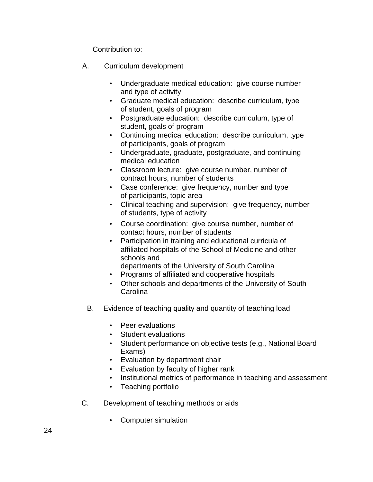Contribution to:

- A. Curriculum development
	- Undergraduate medical education: give course number and type of activity
	- Graduate medical education: describe curriculum, type of student, goals of program
	- Postgraduate education: describe curriculum, type of student, goals of program
	- Continuing medical education: describe curriculum, type of participants, goals of program
	- Undergraduate, graduate, postgraduate, and continuing medical education
	- Classroom lecture: give course number, number of contract hours, number of students
	- Case conference: give frequency, number and type of participants, topic area
	- Clinical teaching and supervision: give frequency, number of students, type of activity
	- Course coordination: give course number, number of contact hours, number of students
	- Participation in training and educational curricula of affiliated hospitals of the School of Medicine and other schools and
		- departments of the University of South Carolina
	- Programs of affiliated and cooperative hospitals
	- Other schools and departments of the University of South **Carolina**
	- B. Evidence of teaching quality and quantity of teaching load
		- Peer evaluations
		- Student evaluations
		- Student performance on objective tests (e.g., National Board Exams)
		- Evaluation by department chair
		- Evaluation by faculty of higher rank
		- Institutional metrics of performance in teaching and assessment
		- Teaching portfolio
- C. Development of teaching methods or aids
	- Computer simulation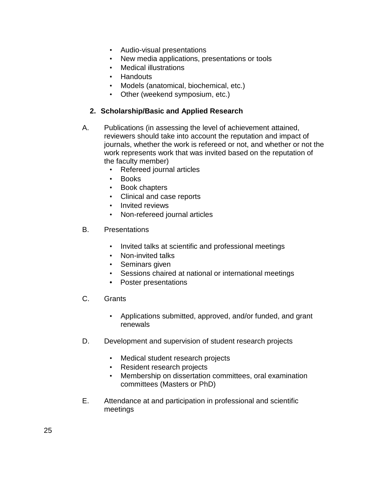- Audio-visual presentations
- New media applications, presentations or tools
- Medical illustrations
- Handouts
- Models (anatomical, biochemical, etc.)
- Other (weekend symposium, etc.)

### **2. Scholarship/Basic and Applied Research**

- A. Publications (in assessing the level of achievement attained, reviewers should take into account the reputation and impact of journals, whether the work is refereed or not, and whether or not the work represents work that was invited based on the reputation of the faculty member)
	- Refereed journal articles
	- Books
	- Book chapters
	- Clinical and case reports
	- Invited reviews
	- Non-refereed journal articles
- B. Presentations
	- Invited talks at scientific and professional meetings
	- Non-invited talks
	- Seminars given
	- Sessions chaired at national or international meetings
	- Poster presentations
- C. Grants
	- Applications submitted, approved, and/or funded, and grant renewals
- D. Development and supervision of student research projects
	- Medical student research projects
	- Resident research projects
	- Membership on dissertation committees, oral examination committees (Masters or PhD)
- E. Attendance at and participation in professional and scientific meetings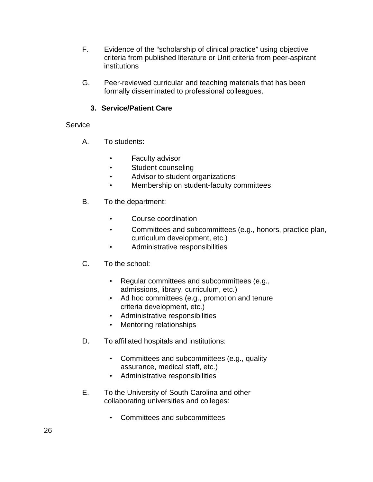- F. Evidence of the "scholarship of clinical practice" using objective criteria from published literature or Unit criteria from peer-aspirant institutions
- G. Peer-reviewed curricular and teaching materials that has been formally disseminated to professional colleagues.

# **3. Service/Patient Care**

### **Service**

- A. To students:
	- Faculty advisor
	- Student counseling
	- Advisor to student organizations
	- Membership on student-faculty committees
- B. To the department:
	- Course coordination
	- Committees and subcommittees (e.g., honors, practice plan, curriculum development, etc.)
	- Administrative responsibilities
- C. To the school:
	- Regular committees and subcommittees (e.g., admissions, library, curriculum, etc.)
	- Ad hoc committees (e.g., promotion and tenure criteria development, etc.)
	- Administrative responsibilities
	- Mentoring relationships
- D. To affiliated hospitals and institutions:
	- Committees and subcommittees (e.g., quality assurance, medical staff, etc.)
	- Administrative responsibilities
- E. To the University of South Carolina and other collaborating universities and colleges:
	- Committees and subcommittees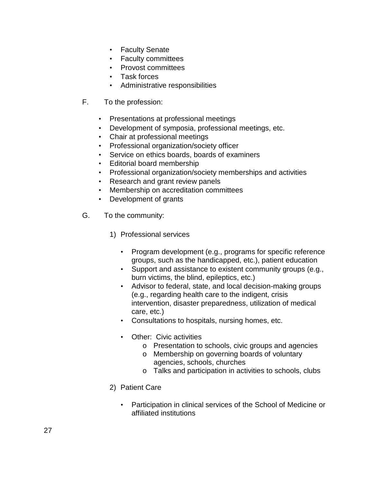- Faculty Senate
- Faculty committees
- Provost committees
- Task forces
- Administrative responsibilities
- F. To the profession:
	- Presentations at professional meetings
	- Development of symposia, professional meetings, etc.
	- Chair at professional meetings
	- Professional organization/society officer
	- Service on ethics boards, boards of examiners
	- Editorial board membership
	- Professional organization/society memberships and activities
	- Research and grant review panels
	- Membership on accreditation committees
	- Development of grants
- G. To the community:
	- 1) Professional services
		- Program development (e.g., programs for specific reference groups, such as the handicapped, etc.), patient education
		- Support and assistance to existent community groups (e.g., burn victims, the blind, epileptics, etc.)
		- Advisor to federal, state, and local decision-making groups (e.g., regarding health care to the indigent, crisis intervention, disaster preparedness, utilization of medical care, etc.)
		- Consultations to hospitals, nursing homes, etc.
		- Other: Civic activities
			- o Presentation to schools, civic groups and agencies
			- o Membership on governing boards of voluntary agencies, schools, churches
			- o Talks and participation in activities to schools, clubs
	- 2) Patient Care
		- Participation in clinical services of the School of Medicine or affiliated institutions